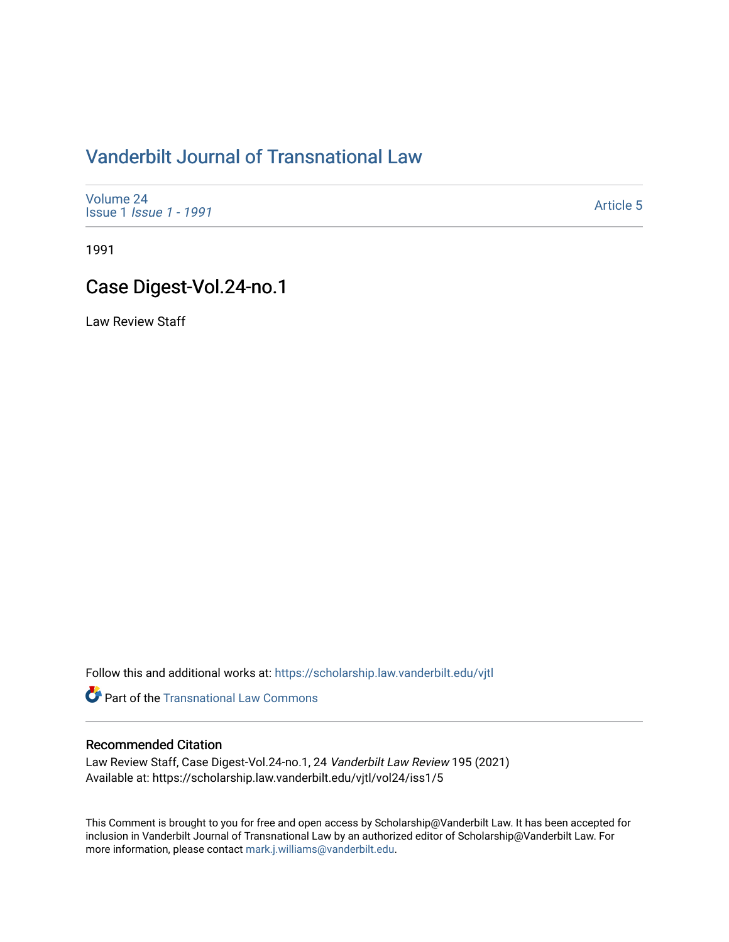# [Vanderbilt Journal of Transnational Law](https://scholarship.law.vanderbilt.edu/vjtl)

[Volume 24](https://scholarship.law.vanderbilt.edu/vjtl/vol24) Issue 1 [Issue 1 - 1991](https://scholarship.law.vanderbilt.edu/vjtl/vol24/iss1)

[Article 5](https://scholarship.law.vanderbilt.edu/vjtl/vol24/iss1/5) 

1991

# Case Digest-Vol.24-no.1

Law Review Staff

Follow this and additional works at: [https://scholarship.law.vanderbilt.edu/vjtl](https://scholarship.law.vanderbilt.edu/vjtl?utm_source=scholarship.law.vanderbilt.edu%2Fvjtl%2Fvol24%2Fiss1%2F5&utm_medium=PDF&utm_campaign=PDFCoverPages) 

**Part of the [Transnational Law Commons](http://network.bepress.com/hgg/discipline/1123?utm_source=scholarship.law.vanderbilt.edu%2Fvjtl%2Fvol24%2Fiss1%2F5&utm_medium=PDF&utm_campaign=PDFCoverPages)** 

### Recommended Citation

Law Review Staff, Case Digest-Vol.24-no.1, 24 Vanderbilt Law Review 195 (2021) Available at: https://scholarship.law.vanderbilt.edu/vjtl/vol24/iss1/5

This Comment is brought to you for free and open access by Scholarship@Vanderbilt Law. It has been accepted for inclusion in Vanderbilt Journal of Transnational Law by an authorized editor of Scholarship@Vanderbilt Law. For more information, please contact [mark.j.williams@vanderbilt.edu](mailto:mark.j.williams@vanderbilt.edu).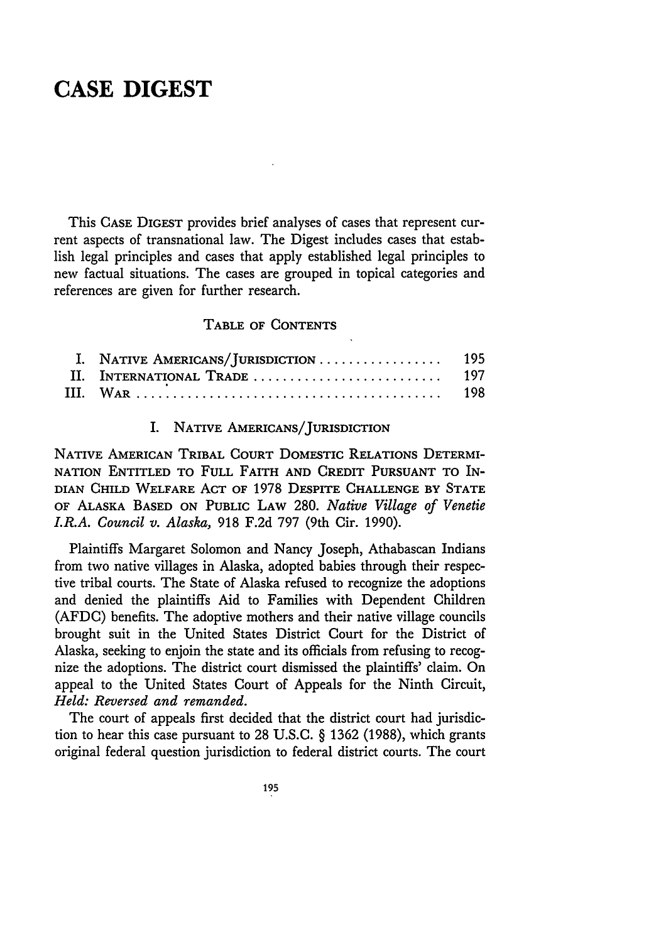### **CASE DIGEST**

This **CASE** DIGEST provides brief analyses of cases that represent current aspects of transnational law. The Digest includes cases that establish legal principles and cases that apply established legal principles to new factual situations. The cases are grouped in topical categories and references are given for further research.

#### TABLE **OF CONTENTS**

#### I. **NATIVE AMERICANS/JURISDICTION**

NATIVE AMERICAN TRIBAL **COURT** DOMESTIC RELATIONS DETERMI-NATION **ENTITLED** TO **FULL** FAITH **AND CREDIT PURSUANT** TO IN-DIAN CHILD WELFARE **ACT** OF 1978 DESPITE **CHALLENGE** BY **STATE** OF **ALASKA BASED ON** PUBLIC **LAW** 280. *Native Village of Venetie LR.A. Council v. Alaska,* 918 F.2d 797 (9th Cir. 1990).

Plaintiffs Margaret Solomon and Nancy Joseph, Athabascan Indians from two native villages in Alaska, adopted babies through their respective tribal courts. The State of Alaska refused to recognize the adoptions and denied the plaintiffs Aid to Families with Dependent Children (AFDC) benefits. The adoptive mothers and their native village councils brought suit in the United States District Court for the District of Alaska, seeking to enjoin the state and its officials from refusing to recognize the adoptions. The district court dismissed the plaintiffs' claim. On appeal to the United States Court of Appeals for the Ninth Circuit, *Held: Reversed and remanded.*

The court of appeals first decided that the district court had jurisdiction to hear this case pursuant to 28 U.S.C. § 1362 (1988), which grants original federal question jurisdiction to federal district courts. The court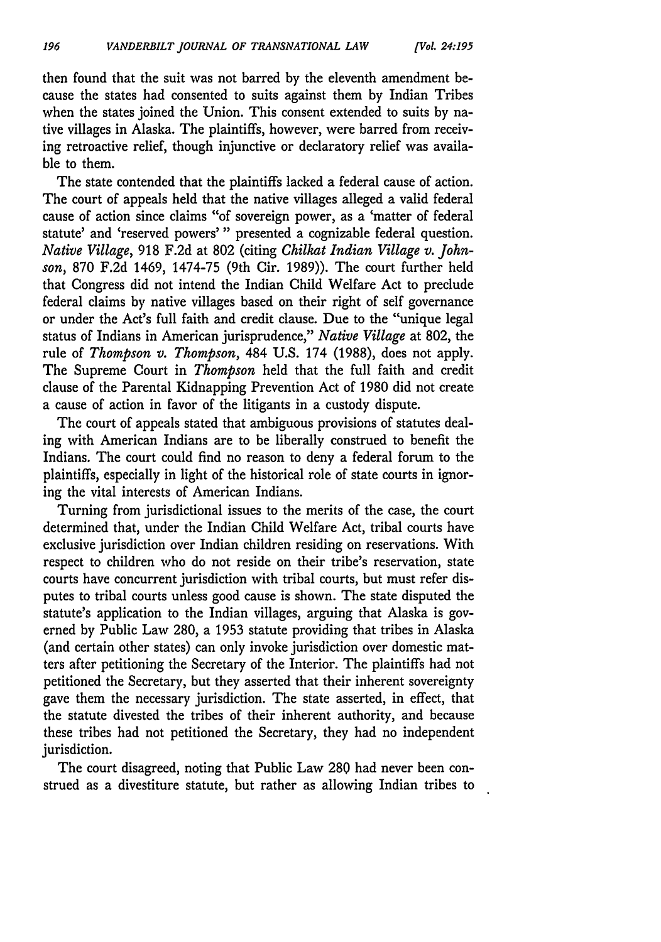then found that the suit was not barred **by** the eleventh amendment because the states had consented to suits against them by Indian Tribes when the states joined the Union. This consent extended to suits by native villages in Alaska. The plaintiffs, however, were barred from receiving retroactive relief, though injunctive or declaratory relief was available to them.

The state contended that the plaintiffs lacked a federal cause of action. The court of appeals held that the native villages alleged a valid federal cause of action since claims "of sovereign power, as a 'matter of federal statute' and 'reserved powers'" presented a cognizable federal question. *Native Village,* 918 F.2d at **802** (citing *Chilkat Indian Village v. Johnson,* 870 F.2d 1469, 1474-75 (9th Cir. 1989)). The court further held that Congress did not intend the Indian Child Welfare Act to preclude federal claims by native villages based on their right of self governance or under the Act's full faith and credit clause. Due to the "unique legal status of Indians in American jurisprudence," *Native Village* at 802, the rule of *Thompson v. Thompson,* 484 U.S. 174 (1988), does not apply. The Supreme Court in *Thompson* held that the full faith and credit clause of the Parental Kidnapping Prevention Act of 1980 did not create a cause of action in favor of the litigants in a custody dispute.

The court of appeals stated that ambiguous provisions of statutes dealing with American Indians are to be liberally construed to benefit the Indians. The court could find no reason to deny a federal forum to the plaintiffs, especially in light of the historical role of state courts in ignoring the vital interests of American Indians.

Turning from jurisdictional issues to the merits of the case, the court determined that, under the Indian Child Welfare Act, tribal courts have exclusive jurisdiction over Indian children residing on reservations. With respect to children who do not reside on their tribe's reservation, state courts have concurrent jurisdiction with tribal courts, but must refer disputes to tribal courts unless good cause is shown. The state disputed the statute's application to the Indian villages, arguing that Alaska is governed by Public Law 280, a 1953 statute providing that tribes in Alaska (and certain other states) can only invoke jurisdiction over domestic matters after petitioning the Secretary of the Interior. The plaintiffs had not petitioned the Secretary, but they asserted that their inherent sovereignty gave them the necessary jurisdiction. The state asserted, in effect, that the statute divested the tribes of their inherent authority, and because these tribes had not petitioned the Secretary, they had no independent jurisdiction.

The court disagreed, noting that Public Law 289 had never been construed as a divestiture statute, but rather as allowing Indian tribes to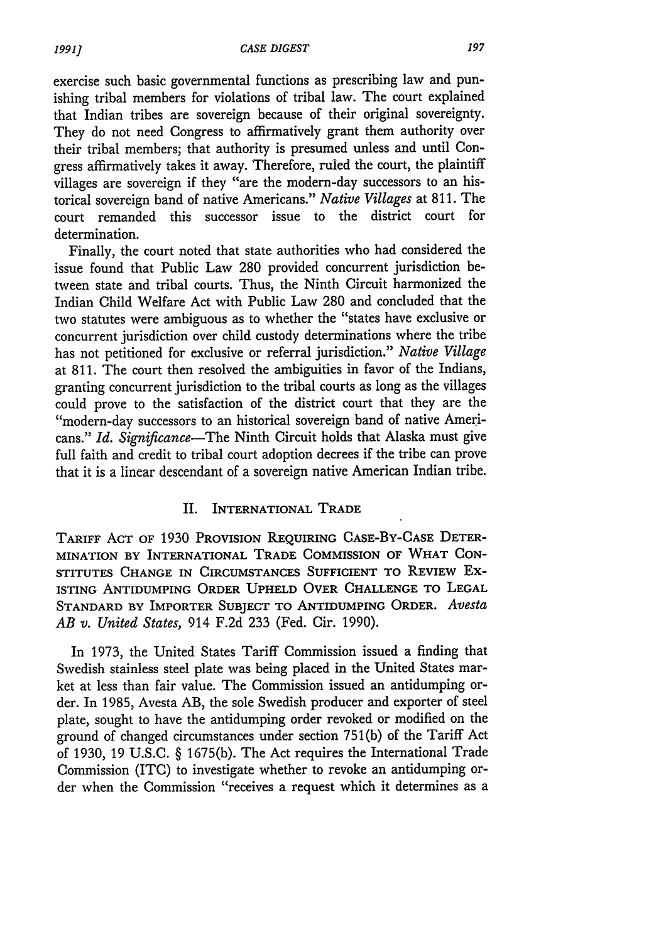exercise such basic governmental functions as prescribing law and punishing tribal members for violations of tribal law. The court explained that Indian tribes are sovereign because of their original sovereignty. They do not need Congress to affirmatively grant them authority over their tribal members; that authority is presumed unless and until Congress affirmatively takes it away. Therefore, ruled the court, the plaintiff villages are sovereign if they "are the modern-day successors to an historical sovereign band of native Americans." *Native Villages* at 811. The court remanded this successor issue to the district court for determination.

Finally, the court noted that state authorities who had considered the issue found that Public Law 280 provided concurrent jurisdiction between state and tribal courts. Thus, the Ninth Circuit harmonized the Indian Child Welfare Act with Public Law 280 and concluded that the two statutes were ambiguous as to whether the "states have exclusive or concurrent jurisdiction over child custody determinations where the tribe has not petitioned for exclusive or referral jurisdiction." *Native Village* at 811. The court then resolved the ambiguities in favor of the Indians, granting concurrent jurisdiction to the tribal courts as long as the villages could prove to the satisfaction of the district court that they are the "modern-day successors to an historical sovereign band of native Americans." *Id. Significance*—The Ninth Circuit holds that Alaska must give full faith and credit to tribal court adoption decrees if the tribe can prove that it is a linear descendant of a sovereign native American Indian tribe.

#### II. INTERNATIONAL TRADE

TARIFF **ACT** OF 1930 PROVISION REQUIRING **CASE-BY-CASE** DETER-MINATION BY INTERNATIONAL TRADE COMMISSION OF WHAT **CON-**STITUTES **CHANGE** IN **CIRCUMSTANCES SUFFICIENT** TO REVIEW **Ex-ISTING** ANTIDUMPING ORDER **UPHELD** OVER **CHALLENGE** TO **LEGAL STANDARD BY IMPORTER SUBJECT** TO **ANTIDUMPING ORDER.** *Avesta AB v. United States,* 914 F.2d 233 (Fed. Cir. 1990).

In 1973, the United States Tariff Commission issued a finding that Swedish stainless steel plate was being placed in the United States market at less than fair value. The Commission issued an antidumping order. In 1985, Avesta AB, the sole Swedish producer and exporter of steel plate, sought to have the antidumping order revoked or modified on the ground of changed circumstances under section 751(b) of the Tariff Act of 1930, 19 U.S.C. § 1675(b). The Act requires the International Trade Commission (ITC) to investigate whether to revoke an antidumping order when the Commission "receives a request which it determines as a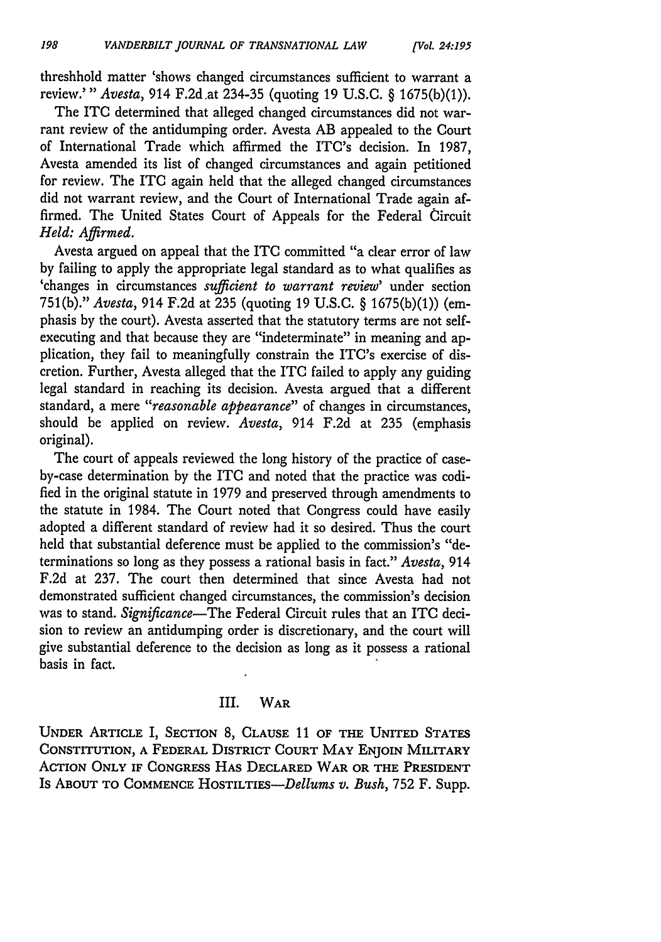threshhold matter 'shows changed circumstances sufficient to warrant a review.'" *Avesta,* 914 F.2d.at 234-35 (quoting 19 U.S.C. § 1675(b)(1)).

The ITC determined that alleged changed circumstances did not warrant review of the antidumping order. Avesta AB appealed to the Court of International Trade which affirmed the ITC's decision. In 1987, Avesta amended its list of changed circumstances and again petitioned for review. The **ITC** again held that the alleged changed circumstances did not warrant review, and the Court of International Trade again affirmed. The United States Court of Appeals for the Federal Circuit *Held: Affirmed.*

Avesta argued on appeal that the ITC committed "a clear error of law by failing to apply the appropriate legal standard as to what qualifies as 'changes in circumstances *sufficient to warrant review'* under section 751(b)." *Avesta,* 914 F.2d at 235 (quoting 19 U.S.C. § 1675(b)(1)) (emphasis by the court). Avesta asserted that the statutory terms are not selfexecuting and that because they are "indeterminate" in meaning and application, they fail to meaningfully constrain the ITC's exercise of discretion. Further, Avesta alleged that the ITC failed to apply any guiding legal standard in reaching its decision. Avesta argued that a different standard, a mere *"reasonable appearance"* of changes in circumstances, should be applied on review. *Avesta,* 914 F.2d at 235 (emphasis original).

The court of appeals reviewed the long history of the practice of caseby-case determination by the ITC and noted that the practice was codified in the original statute in 1979 and preserved through amendments to the statute in 1984. The Court noted that Congress could have easily adopted a different standard of review had it so desired. Thus the court held that substantial deference must be applied to the commission's "determinations so long as they possess a rational basis in fact." *Avesta,* 914 F.2d at 237. The court then determined that since Avesta had not demonstrated sufficient changed circumstances, the commission's decision was to stand. *Significance-The* Federal Circuit rules that an ITC decision to review an antidumping order is discretionary, and the court will give substantial deference to the decision as long as it possess a rational basis in fact.

#### III. WAR

**UNDER** ARTICLE I, SECTION 8, **CLAUSE 11** OF THE UNITED **STATES** CONSTITUTION, **A** FEDERAL DISTRICT **COURT** MAY **ENJOIN** MILITARY ACTION ONLY IF CONGRESS HAS DECLARED WAR OR THE PRESIDENT Is ABOUT TO COMMENCE HOSTILTIES-Dellums v. Bush, 752 F. Supp.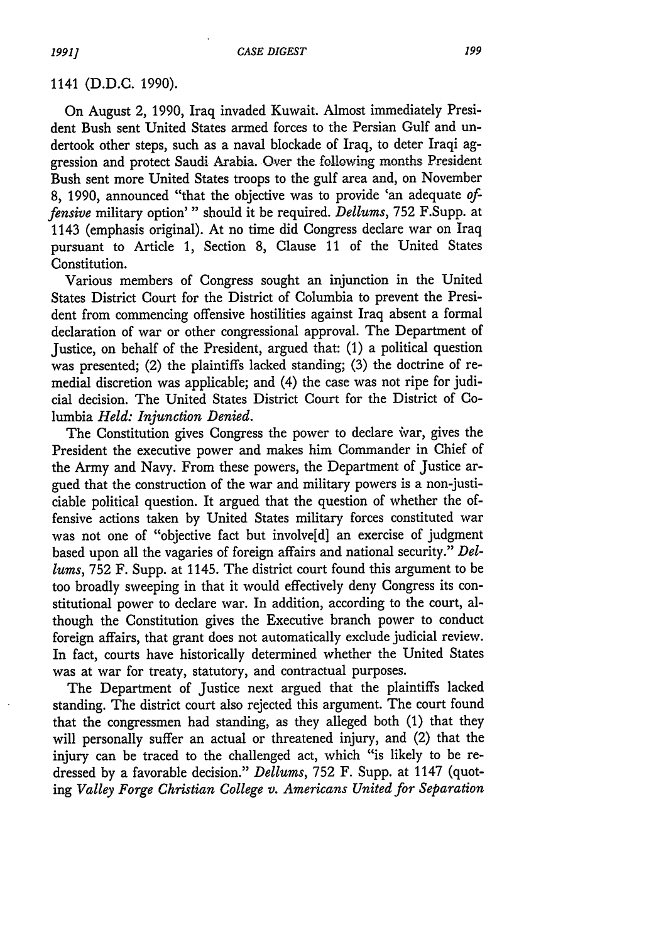1141 (D.D.C. 1990).

On August 2, 1990, Iraq invaded Kuwait. Almost immediately President Bush sent United States armed forces to the Persian Gulf and undertook other steps, such as a naval blockade of Iraq, to deter Iraqi aggression and protect Saudi Arabia. Over the following months President Bush sent more United States troops to the gulf area and, on November 8, 1990, announced "that the objective was to provide 'an adequate *offensive* military option'" should it be required. *Dellums,* 752 F.Supp. at 1143 (emphasis original). At no time did Congress declare war on Iraq pursuant to Article 1, Section 8, Clause 11 of the United States Constitution.

Various members of Congress sought an injunction in the United States District Court for the District of Columbia to prevent the President from commencing offensive hostilities against Iraq absent a formal declaration of war or other congressional approval. The Department of Justice, on behalf of the President, argued that: (1) a political question was presented; (2) the plaintiffs lacked standing; (3) the doctrine of remedial discretion was applicable; and (4) the case was not ripe for judicial decision. The United States District Court for the District of Columbia *Held: Injunction Denied.*

The Constitution gives Congress the power to declare war, gives the President the executive power and makes him Commander in Chief of the Army and Navy. From these powers, the Department of Justice argued that the construction of the war and military powers is a non-justiciable political question. It argued that the question of whether the offensive actions taken by United States military forces constituted war was not one of "objective fact but involve[d] an exercise of judgment based upon all the vagaries of foreign affairs and national security." *Dellums,* 752 F. Supp. at 1145. The district court found this argument to be too broadly sweeping in that it would effectively deny Congress its constitutional power to declare war. In addition, according to the court, although the Constitution gives the Executive branch power to conduct foreign affairs, that grant does not automatically exclude judicial review. In fact, courts have historically determined whether the United States was at war for treaty, statutory, and contractual purposes.

The Department of Justice next argued that the plaintiffs lacked standing. The district court also rejected this argument. The court found that the congressmen had standing, as they alleged both (1) that they will personally suffer an actual or threatened injury, and (2) that the injury can be traced to the challenged act, which "is likely to be redressed by a favorable decision." *Dellums,* 752 F. Supp. at 1147 (quoting *Valley Forge Christian College v. Americans United for Separation*

*1991]*